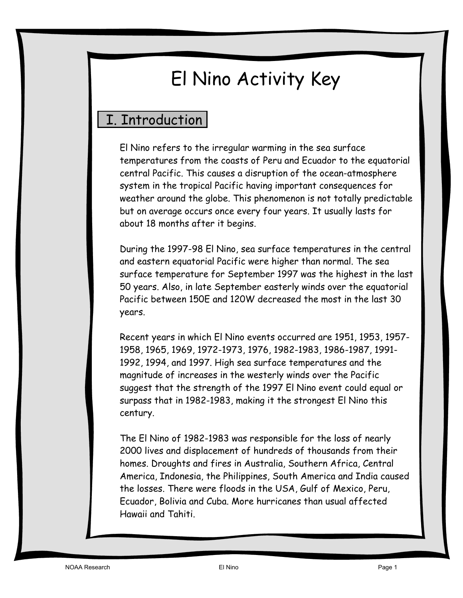# El Nino Activity Key

# I. Introduction

El Nino refers to the irregular warming in the sea surface temperatures from the coasts of Peru and Ecuador to the equatorial central Pacific. This causes a disruption of the ocean-atmosphere system in the tropical Pacific having important consequences for weather around the globe. This phenomenon is not totally predictable but on average occurs once every four years. It usually lasts for about 18 months after it begins.

During the 1997-98 El Nino, sea surface temperatures in the central and eastern equatorial Pacific were higher than normal. The sea surface temperature for September 1997 was the highest in the last 50 years. Also, in late September easterly winds over the equatorial Pacific between 150E and 120W decreased the most in the last 30 years.

Recent years in which El Nino events occurred are 1951, 1953, 1957- 1958, 1965, 1969, 1972-1973, 1976, 1982-1983, 1986-1987, 1991- 1992, 1994, and 1997. High sea surface temperatures and the magnitude of increases in the westerly winds over the Pacific suggest that the strength of the 1997 El Nino event could equal or surpass that in 1982-1983, making it the strongest El Nino this century.

The El Nino of 1982-1983 was responsible for the loss of nearly 2000 lives and displacement of hundreds of thousands from their homes. Droughts and fires in Australia, Southern Africa, Central America, Indonesia, the Philippines, South America and India caused the losses. There were floods in the USA, Gulf of Mexico, Peru, Ecuador, Bolivia and Cuba. More hurricanes than usual affected Hawaii and Tahiti.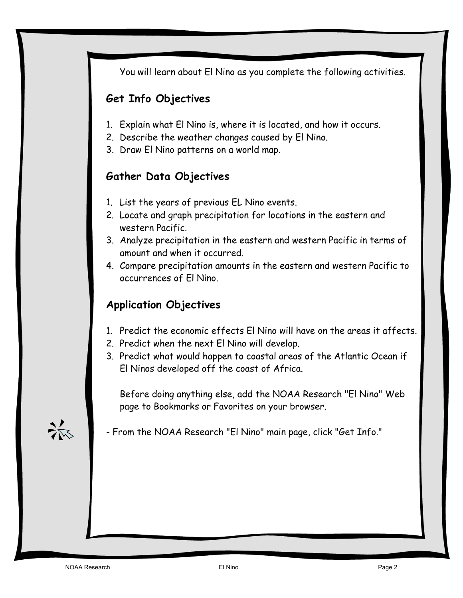You will learn about El Nino as you complete the following activities.

# **Get Info Objectives**

- 1. Explain what El Nino is, where it is located, and how it occurs.
- 2. Describe the weather changes caused by El Nino.
- 3. Draw El Nino patterns on a world map.

### **Gather Data Objectives**

- 1. List the years of previous EL Nino events.
- 2. Locate and graph precipitation for locations in the eastern and western Pacific.
- 3. Analyze precipitation in the eastern and western Pacific in terms of amount and when it occurred.
- 4. Compare precipitation amounts in the eastern and western Pacific to occurrences of El Nino.

# **Application Objectives**

- 1. Predict the economic effects El Nino will have on the areas it affects.
- 2. Predict when the next El Nino will develop.
- 3. Predict what would happen to coastal areas of the Atlantic Ocean if El Ninos developed off the coast of Africa.

Before doing anything else, add the NOAA Research "El Nino" Web page to Bookmarks or Favorites on your browser.

- From the NOAA Research "El Nino" main page, click "Get Info."

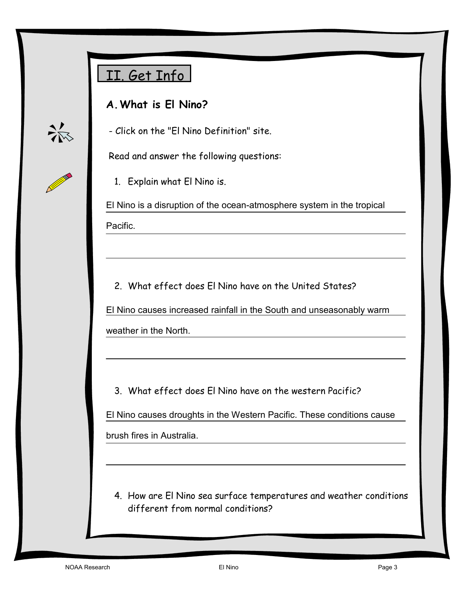# II. Get Info

# **A. What is El Nino?**



- Click on the "El Nino Definition" site.

Read and answer the following questions:

1. Explain what El Nino is.

El Nino is a disruption of the ocean-atmosphere system in the tropical Pacific.

2. What effect does El Nino have on the United States?

El Nino causes increased rainfall in the South and unseasonably warm

weather in the North.

3. What effect does El Nino have on the western Pacific?

El Nino causes droughts in the Western Pacific. These conditions cause

brush fires in Australia.

4. How are El Nino sea surface temperatures and weather conditions different from normal conditions?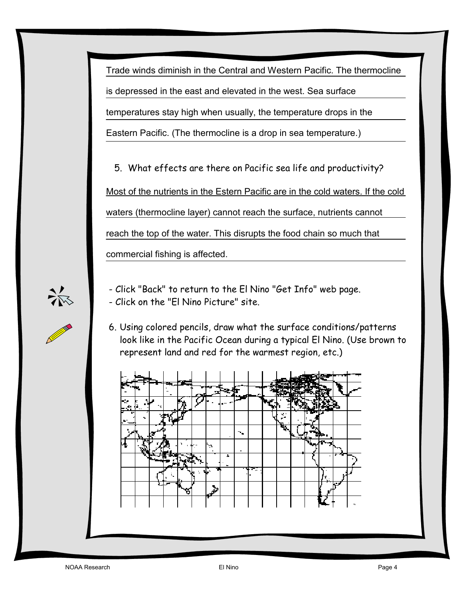Trade winds diminish in the Central and Western Pacific. The thermocline is depressed in the east and elevated in the west. Sea surface temperatures stay high when usually, the temperature drops in the Eastern Pacific. (The thermocline is a drop in sea temperature.)

5. What effects are there on Pacific sea life and productivity? Most of the nutrients in the Estern Pacific are in the cold waters. If the cold waters (thermocline layer) cannot reach the surface, nutrients cannot reach the top of the water. This disrupts the food chain so much that commercial fishing is affected.



- Click "Back" to return to the El Nino "Get Info" web page. - Click on the "El Nino Picture" site.

6. Using colored pencils, draw what the surface conditions/patterns look like in the Pacific Ocean during a typical El Nino. (Use brown to represent land and red for the warmest region, etc.)

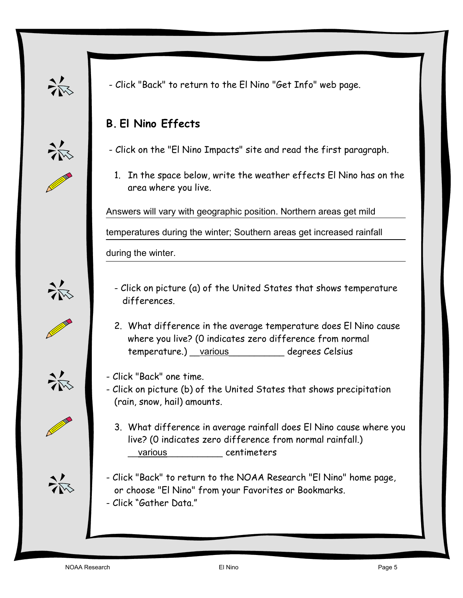

添

- Click "Back" to return to the El Nino "Get Info" web page.

# **B. El Nino Effects**

- Click on the "El Nino Impacts" site and read the first paragraph.

1. In the space below, write the weather effects El Nino has on the area where you live.

Answers will vary with geographic position. Northern areas get mild

temperatures during the winter; Southern areas get increased rainfall

during the winter.



- Click on picture (a) of the United States that shows temperature differences.
- 2. What difference in the average temperature does El Nino cause where you live? (0 indicates zero difference from normal temperature.) various degrees Celsius
- Click "Back" one time.
- Click on picture (b) of the United States that shows precipitation (rain, snow, hail) amounts.
	- 3. What difference in average rainfall does El Nino cause where you live? (0 indicates zero difference from normal rainfall.) various centimeters
- Click "Back" to return to the NOAA Research "El Nino" home page, or choose "El Nino" from your Favorites or Bookmarks. - Click "Gather Data."







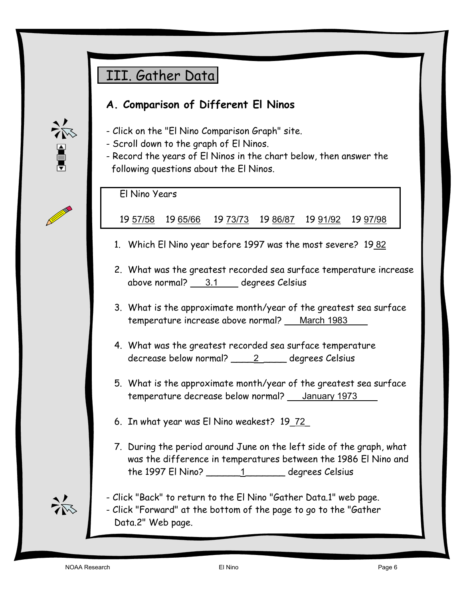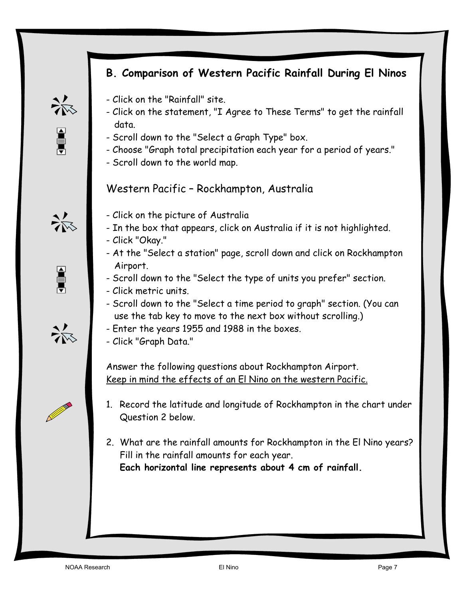# **B. Comparison of Western Pacific Rainfall During El Ninos**

- Click on the "Rainfall" site.
- Click on the statement, "I Agree to These Terms" to get the rainfall data.
- Scroll down to the "Select a Graph Type" box.
- Choose "Graph total precipitation each year for a period of years."

- In the box that appears, click on Australia if it is not highlighted.

- Scroll down to the "Select the type of units you prefer" section.

- Scroll down to the "Select a time period to graph" section. (You can

- At the "Select a station" page, scroll down and click on Rockhampton

- Scroll down to the world map.

- Click on the picture of Australia

Western Pacific – Rockhampton, Australia



长星





use the tab key to move to the next box without scrolling.) - Enter the years 1955 and 1988 in the boxes. - Click "Graph Data."

- Click "Okay."

Airport.

- Click metric units.

Answer the following questions about Rockhampton Airport. Keep in mind the effects of an El Nino on the western Pacific.

- 1. Record the latitude and longitude of Rockhampton in the chart under Question 2 below.
- 2. What are the rainfall amounts for Rockhampton in the El Nino years? Fill in the rainfall amounts for each year. **Each horizontal line represents about 4 cm of rainfall.**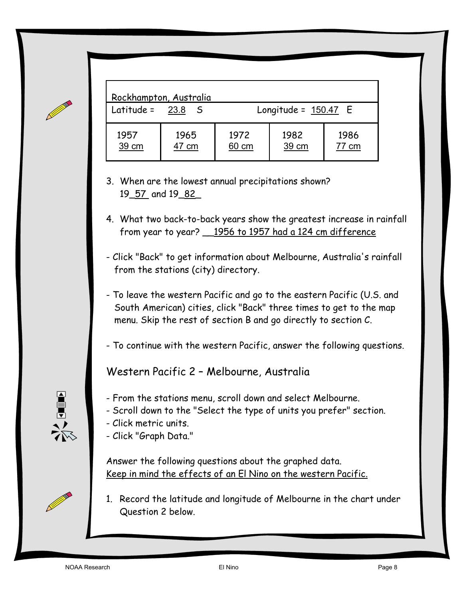|                   | Rockhampton, Australia |               |                        |               |
|-------------------|------------------------|---------------|------------------------|---------------|
| Latitude = $23.8$ | - S                    |               | Longitude = $150.47$ E |               |
| 1957<br>39 cm     | 1965<br>47 cm          | 1972<br>60 cm | 1982<br>39 cm          | 1986<br>77 cm |

- 3. When are the lowest annual precipitations shown? 19\_57 and 19\_82\_
- 4. What two back-to-back years show the greatest increase in rainfall from year to year? \_\_1956 to 1957 had a 124 cm difference
- Click "Back" to get information about Melbourne, Australia's rainfall from the stations (city) directory.
- To leave the western Pacific and go to the eastern Pacific (U.S. and South American) cities, click "Back" three times to get to the map menu. Skip the rest of section B and go directly to section C.
- To continue with the western Pacific, answer the following questions.

Western Pacific 2 – Melbourne, Australia

- From the stations menu, scroll down and select Melbourne.
- Scroll down to the "Select the type of units you prefer" section.
- Click metric units.
- Click "Graph Data."

Answer the following questions about the graphed data. Keep in mind the effects of an El Nino on the western Pacific.

1. Record the latitude and longitude of Melbourne in the chart under Question 2 below.

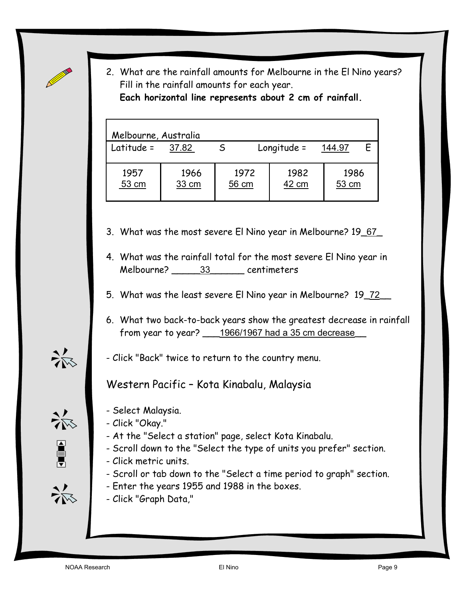2. What are the rainfall amounts for Melbourne in the El Nino years? Fill in the rainfall amounts for each year. **Each horizontal line represents about 2 cm of rainfall.** 

| Melbourne, Australia |               |               |               |               |  |
|----------------------|---------------|---------------|---------------|---------------|--|
| Latitude =           | 37.82         |               | $Longitude =$ | 144.97        |  |
| 1957<br>53 cm        | 1966<br>33 cm | 1972<br>56 cm | 1982<br>42 cm | 1986<br>53 cm |  |

3. What was the most severe El Nino year in Melbourne? 19\_67\_

- 4. What was the rainfall total for the most severe El Nino year in Melbourne? \_\_\_\_\_33\_\_\_\_\_\_ centimeters
- 5. What was the least severe El Nino year in Melbourne? 19\_72\_\_
- 6. What two back-to-back years show the greatest decrease in rainfall from year to year? \_\_\_1966/1967 had a 35 cm decrease\_\_
- Click "Back" twice to return to the country menu.

Western Pacific – Kota Kinabalu, Malaysia

- 
- 第1

杀

- Select Malaysia. - Click "Okay."
	- At the "Select a station" page, select Kota Kinabalu.
	- Scroll down to the "Select the type of units you prefer" section.
	- Click metric units.
	- Scroll or tab down to the "Select a time period to graph" section.
	- Enter the years 1955 and 1988 in the boxes.
	- Click "Graph Data,"

添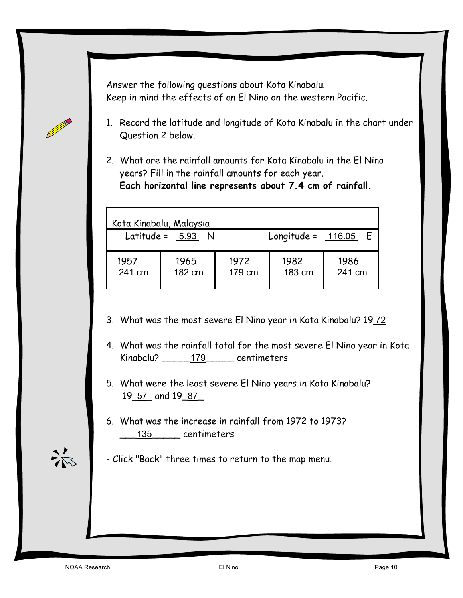Answer the following questions about Kota Kinabalu. Keep in mind the effects of an El Nino on the western Pacific.

- 1. Record the latitude and longitude of Kota Kinabalu in the chart under Question 2 below.
- 2. What are the rainfall amounts for Kota Kinabalu in the El Nino years? Fill in the rainfall amounts for each year. **Each horizontal line represents about 7.4 cm of rainfall.**

|                | Kota Kinabalu, Malaysia |                |                        |                |
|----------------|-------------------------|----------------|------------------------|----------------|
|                | Latitude = $5.93$ N     |                | Longitude = $116.05$ E |                |
| 1957<br>241 cm | 1965<br>182 cm          | 1972<br>179 cm | 1982<br>183 cm         | 1986<br>241 cm |

- 3. What was the most severe El Nino year in Kota Kinabalu? 1972
- 4. What was the rainfall total for the most severe El Nino year in Kota Kinabalu? 179 centimeters
- 5. What were the least severe El Nino years in Kota Kinabalu? 19 57 and 19 87
- 6. What was the increase in rainfall from 1972 to 1973? \_\_\_135\_\_\_\_\_ centimeters
- Click "Back" three times to return to the map menu.

**Contract Contract Contract Contract Contract Contract Contract Contract Contract Contract Contract Contract Contract Contract Contract Contract Contract Contract Contract Contract Contract Contract Contract Contract Contr**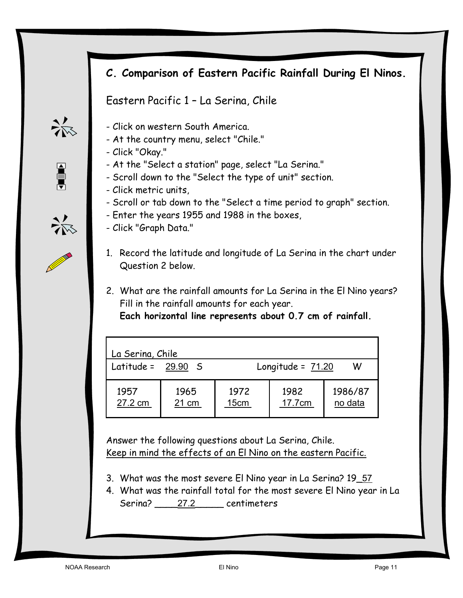# **C. Comparison of Eastern Pacific Rainfall During El Ninos.**

Eastern Pacific 1 – La Serina, Chile

- Click on western South America.
- At the country menu, select "Chile."
- Click "Okay."
- At the "Select a station" page, select "La Serina."
- Scroll down to the "Select the type of unit" section.
- Click metric units,
- Scroll or tab down to the "Select a time period to graph" section.
- Enter the years 1955 and 1988 in the boxes,
- Click "Graph Data."
- 1. Record the latitude and longitude of La Serina in the chart under Question 2 below.
- 2. What are the rainfall amounts for La Serina in the El Nino years? Fill in the rainfall amounts for each year.

**Each horizontal line represents about 0.7 cm of rainfall.** 

| La Serina, Chile     |               |              |                     |                    |
|----------------------|---------------|--------------|---------------------|--------------------|
| Latitude = $29.90$ S |               |              | Longitude = $71.20$ | w                  |
| 1957<br>27.2 cm      | 1965<br>21 cm | 1972<br>15cm | 1982<br>17.7cm      | 1986/87<br>no data |

Answer the following questions about La Serina, Chile. Keep in mind the effects of an El Nino on the eastern Pacific.

- 3. What was the most severe El Nino year in La Serina? 19\_57
- 4. What was the rainfall total for the most severe El Nino year in La Serina? 27.2 centimeters



 $\begin{array}{c} \n\blacksquare \\
\blacksquare \\
\blacksquare\n\end{array}$ 

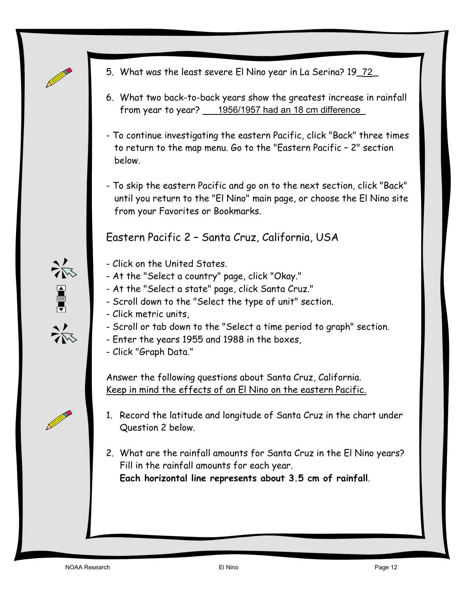

※■※

**Contract Contract Contract Contract Contract Contract Contract Contract Contract Contract Contract Contract C** 

- 5. What was the least severe El Nino year in La Serina? 19\_72\_
- 6. What two back-to-back years show the greatest increase in rainfall from year to year? 1956/1957 had an 18 cm difference
- To continue investigating the eastern Pacific, click "Back" three times to return to the map menu. Go to the "Eastern Pacific – 2" section below.
- To skip the eastern Pacific and go on to the next section, click "Back" until you return to the "El Nino" main page, or choose the El Nino site from your Favorites or Bookmarks.

Eastern Pacific 2 – Santa Cruz, California, USA

- Click on the United States.
- At the "Select a country" page, click "Okay."
- At the "Select a state" page, click Santa Cruz."
- Scroll down to the "Select the type of unit" section.
- Click metric units,
- Scroll or tab down to the "Select a time period to graph" section.
- Enter the years 1955 and 1988 in the boxes,
- Click "Graph Data."

Answer the following questions about Santa Cruz, California. Keep in mind the effects of an El Nino on the eastern Pacific.

- 1. Record the latitude and longitude of Santa Cruz in the chart under Question 2 below.
- 2. What are the rainfall amounts for Santa Cruz in the El Nino years? Fill in the rainfall amounts for each year. **Each horizontal line represents about 3.5 cm of rainfall**.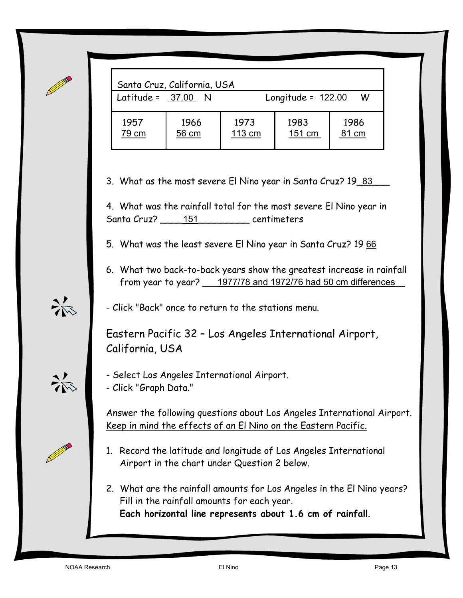| Santa Cruz, California, USA |               |                           |                |               |
|-----------------------------|---------------|---------------------------|----------------|---------------|
| Latitude = $37.00$ N        |               | Longitude = $122.00$<br>W |                |               |
| 1957<br>79 cm               | 1966<br>56 cm | 1973<br>113 cm            | 1983<br>151 cm | 1986<br>81 cm |

3. What as the most severe El Nino year in Santa Cruz? 19\_83\_

4. What was the rainfall total for the most severe El Nino year in Santa Cruz? \_\_\_\_\_151\_\_\_\_\_\_\_\_\_ centimeters

5. What was the least severe El Nino year in Santa Cruz? 19 66

6. What two back-to-back years show the greatest increase in rainfall from year to year? 1977/78 and 1972/76 had 50 cm differences

- Click "Back" once to return to the stations menu.

Eastern Pacific 32 – Los Angeles International Airport, California, USA

- Select Los Angeles International Airport. - Click "Graph Data."

Answer the following questions about Los Angeles International Airport. Keep in mind the effects of an El Nino on the Eastern Pacific.

- 1. Record the latitude and longitude of Los Angeles International Airport in the chart under Question 2 below.
- 2. What are the rainfall amounts for Los Angeles in the El Nino years? Fill in the rainfall amounts for each year. **Each horizontal line represents about 1.6 cm of rainfall**.

添

杀

 $\overline{a}$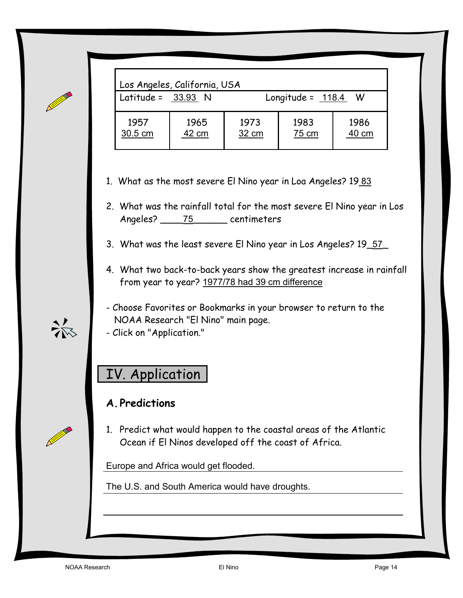| Latitude = $33.93$ N |       |       | Longitude = $118.4$ | - W   |
|----------------------|-------|-------|---------------------|-------|
| 1957                 | 1965  | 1973  | 1983                | 1986  |
| 30.5 cm              | 42 cm | 32 cm | 75 cm               | 40 cm |

- 1. What as the most severe El Nino year in Loa Angeles? 1983
- 2. What was the rainfall total for the most severe El Nino year in Los Angeles? \_\_\_\_75\_\_\_\_\_\_ centimeters
- 3. What was the least severe El Nino year in Los Angeles? 19\_57\_
- 4. What two back-to-back years show the greatest increase in rainfall from year to year? 1977/78 had 39 cm difference
- Choose Favorites or Bookmarks in your browser to return to the NOAA Research "El Nino" main page.
- Click on "Application."

# IV. Application

#### **A. Predictions**

1. Predict what would happen to the coastal areas of the Atlantic Ocean if El Ninos developed off the coast of Africa.

Europe and Africa would get flooded.

The U.S. and South America would have droughts.

 $\frac{2}{\sqrt{N}}$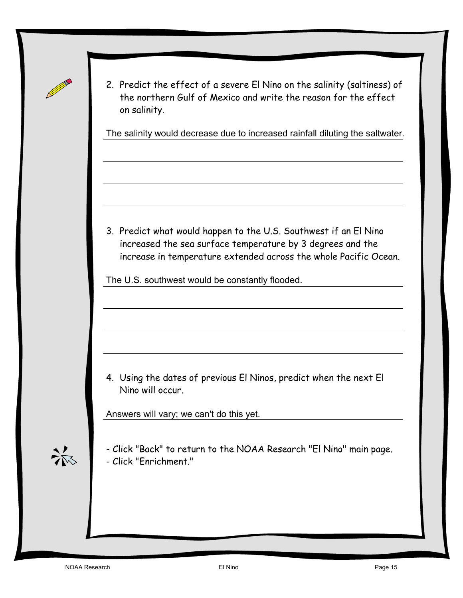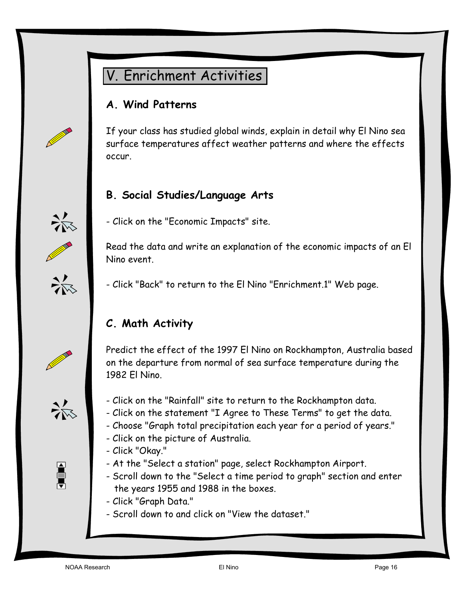

#### **A. Wind Patterns**

If your class has studied global winds, explain in detail why El Nino sea surface temperatures affect weather patterns and where the effects occur.

#### **B. Social Studies/Language Arts**



AND STREET

- Click on the "Economic Impacts" site.

Read the data and write an explanation of the economic impacts of an El Nino event.

- Click "Back" to return to the El Nino "Enrichment.1" Web page.

# **C. Math Activity**

Predict the effect of the 1997 El Nino on Rockhampton, Australia based on the departure from normal of sea surface temperature during the 1982 El Nino.



a de la

- Click on the "Rainfall" site to return to the Rockhampton data.
- Click on the statement "I Agree to These Terms" to get the data.
- Choose "Graph total precipitation each year for a period of years."
- Click on the picture of Australia.
- Click "Okay."
- At the "Select a station" page, select Rockhampton Airport.
- Scroll down to the "Select a time period to graph" section and enter the years 1955 and 1988 in the boxes.
- Click "Graph Data."
- Scroll down to and click on "View the dataset."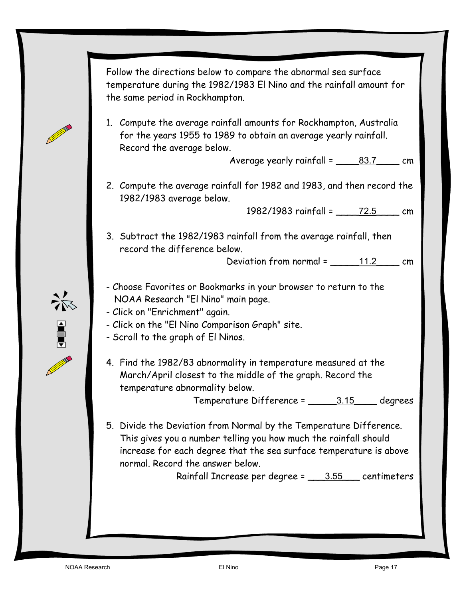Follow the directions below to compare the abnormal sea surface temperature during the 1982/1983 El Nino and the rainfall amount for the same period in Rockhampton.

1. Compute the average rainfall amounts for Rockhampton, Australia for the years 1955 to 1989 to obtain an average yearly rainfall. Record the average below.

Average yearly rainfall =  $\frac{83.7}{\ldots}$  cm

2. Compute the average rainfall for 1982 and 1983, and then record the 1982/1983 average below.

1982/1983 rainfall = 72.5 cm

3. Subtract the 1982/1983 rainfall from the average rainfall, then record the difference below.

Deviation from normal =  $\frac{11.2}{\ldots}$  cm

- Choose Favorites or Bookmarks in your browser to return to the NOAA Research "El Nino" main page.
- Click on "Enrichment" again.
- Click on the "El Nino Comparison Graph" site.
- Scroll to the graph of El Ninos.
- 4. Find the 1982/83 abnormality in temperature measured at the March/April closest to the middle of the graph. Record the temperature abnormality below.

Temperature Difference = \_\_\_\_\_3.15\_\_\_\_ degrees

5. Divide the Deviation from Normal by the Temperature Difference. This gives you a number telling you how much the rainfall should increase for each degree that the sea surface temperature is above normal. Record the answer below.

Rainfall Increase per degree = \_\_\_3.55\_\_\_ centimeters

**Contract Contract Contract Contract Contract Contract Contract Contract Contract Contract Contract Contract C** 

美国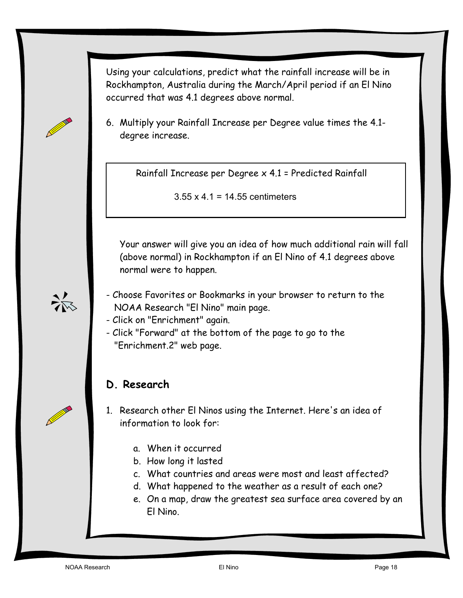Using your calculations, predict what the rainfall increase will be in Rockhampton, Australia during the March/April period if an El Nino occurred that was 4.1 degrees above normal.

6. Multiply your Rainfall Increase per Degree value times the 4.1 degree increase.

Rainfall Increase per Degree x 4.1 = Predicted Rainfall

3.55 x 4.1 = 14.55 centimeters

Your answer will give you an idea of how much additional rain will fall (above normal) in Rockhampton if an El Nino of 4.1 degrees above normal were to happen.

- Choose Favorites or Bookmarks in your browser to return to the NOAA Research "El Nino" main page.
- Click on "Enrichment" again.
- Click "Forward" at the bottom of the page to go to the "Enrichment.2" web page.

# **D. Research**

1. Research other El Ninos using the Internet. Here's an idea of information to look for:

- a. When it occurred
- b. How long it lasted
- c. What countries and areas were most and least affected?
- d. What happened to the weather as a result of each one?
- e. On a map, draw the greatest sea surface area covered by an El Nino.

 $\frac{2}{\sqrt{N}}$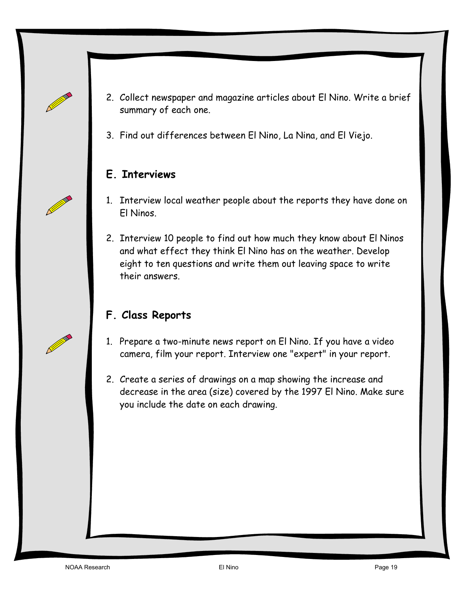- 2. Collect newspaper and magazine articles about El Nino. Write a brief summary of each one.
- 3. Find out differences between El Nino, La Nina, and El Viejo.

### **E. Interviews**

- 1. Interview local weather people about the reports they have done on El Ninos.
- 2. Interview 10 people to find out how much they know about El Ninos and what effect they think El Nino has on the weather. Develop eight to ten questions and write them out leaving space to write their answers.

# **F. Class Reports**

- 1. Prepare a two-minute news report on El Nino. If you have a video camera, film your report. Interview one "expert" in your report.
- 2. Create a series of drawings on a map showing the increase and decrease in the area (size) covered by the 1997 El Nino. Make sure you include the date on each drawing.